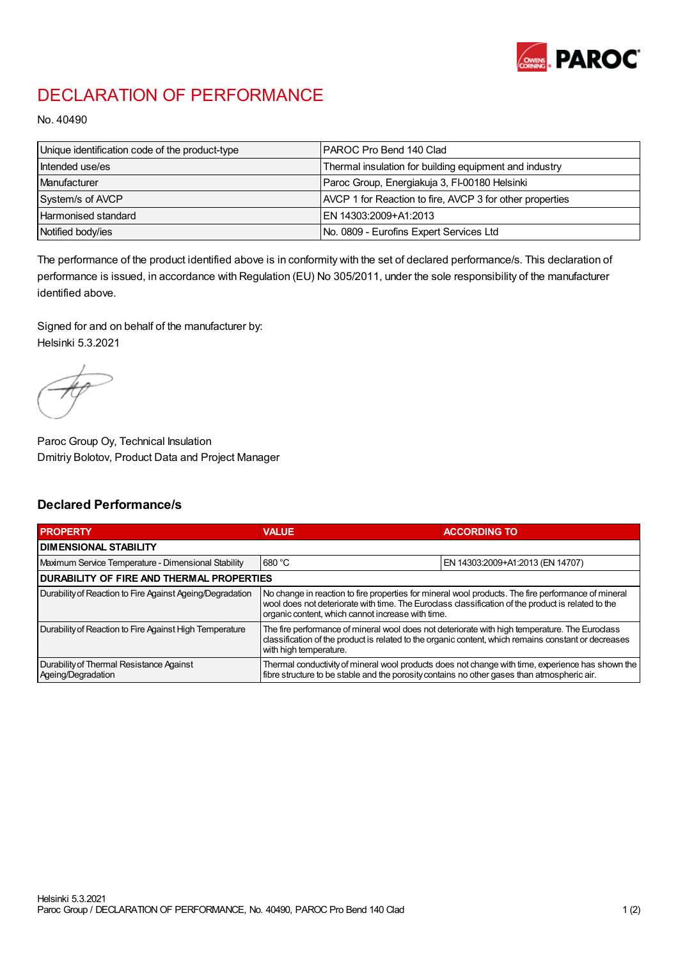

## DECLARATION OF PERFORMANCE

No. 40490

| Unique identification code of the product-type | IPAROC Pro Bend 140 Clad                                 |
|------------------------------------------------|----------------------------------------------------------|
| Intended use/es                                | Thermal insulation for building equipment and industry   |
| Manufacturer                                   | Paroc Group, Energiakuja 3, FI-00180 Helsinki            |
| System/s of AVCP                               | AVCP 1 for Reaction to fire, AVCP 3 for other properties |
| Harmonised standard                            | IEN 14303:2009+A1:2013                                   |
| Notified body/ies                              | No. 0809 - Eurofins Expert Services Ltd                  |

The performance of the product identified above is in conformity with the set of declared performance/s. This declaration of performance is issued, in accordance with Regulation (EU) No 305/2011, under the sole responsibility of the manufacturer identified above.

Signed for and on behalf of the manufacturer by: Helsinki 5.3.2021

Paroc Group Oy, Technical Insulation Dmitriy Bolotov, Product Data and Project Manager

## Declared Performance/s

| <b>PROPERTY</b>                                                | <b>VALUE</b>                                                                                                                                                                                                                                                   | <b>ACCORDING TO</b>              |  |
|----------------------------------------------------------------|----------------------------------------------------------------------------------------------------------------------------------------------------------------------------------------------------------------------------------------------------------------|----------------------------------|--|
| <b>DIMENSIONAL STABILITY</b>                                   |                                                                                                                                                                                                                                                                |                                  |  |
| Maximum Service Temperature - Dimensional Stability            | 680 °C                                                                                                                                                                                                                                                         | EN 14303:2009+A1:2013 (EN 14707) |  |
| <b>DURABILITY OF FIRE AND THERMAL PROPERTIES</b>               |                                                                                                                                                                                                                                                                |                                  |  |
| Durability of Reaction to Fire Against Ageing/Degradation      | No change in reaction to fire properties for mineral wool products. The fire performance of mineral<br>wool does not deteriorate with time. The Euroclass classification of the product is related to the<br>organic content, which cannot increase with time. |                                  |  |
| Durability of Reaction to Fire Against High Temperature        | The fire performance of mineral wool does not deteriorate with high temperature. The Euroclass<br>classification of the product is related to the organic content, which remains constant or decreases<br>with high temperature.                               |                                  |  |
| Durability of Thermal Resistance Against<br>Ageing/Degradation | Thermal conductivity of mineral wool products does not change with time, experience has shown the<br>fibre structure to be stable and the porosity contains no other gases than atmospheric air.                                                               |                                  |  |